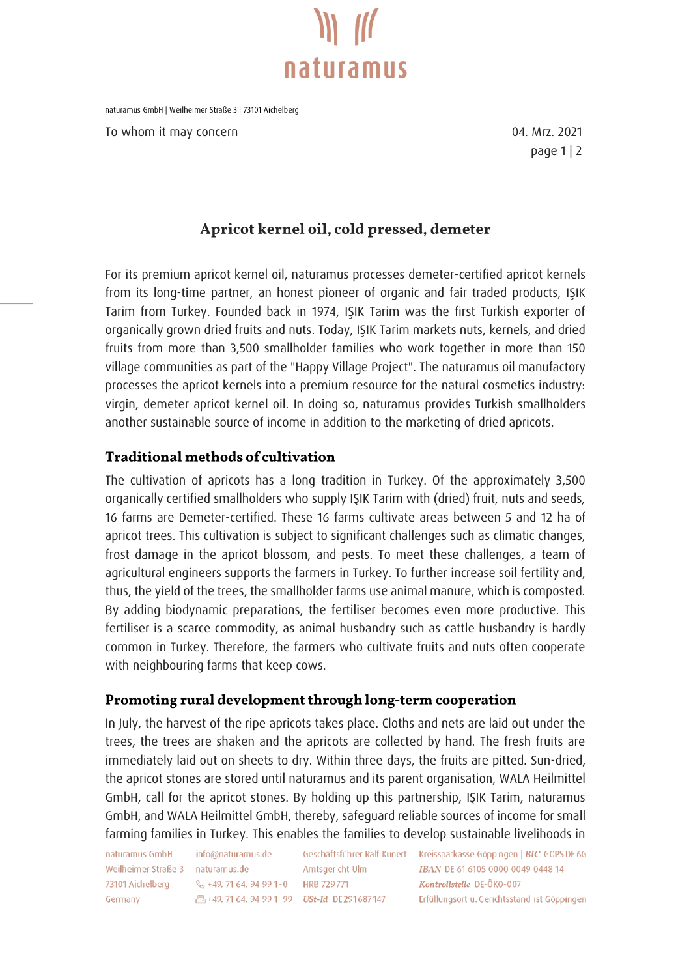

naturamus GmbH | Weilheimer Straße 3 | 73101 Aichelberg

To whom it may concern and the state of the control of the UA Mrz. 2021

page 1 | 2

## Apricot kernel oil, cold pressed, demeter

For its premium apricot kernel oil, naturamus processes demeter-certified apricot kernels from its long-time partner, an honest pioneer of organic and fair traded products, IŞIK Tarim from Turkey. Founded back in 1974, IŞIK Tarim was the first Turkish exporter of organically grown dried fruits and nuts. Today, IŞIK Tarim markets nuts, kernels, and dried fruits from more than 3,500 smallholder families who work together in more than 150 village communities as part of the "Happy Village Project". The naturamus oil manufactory processes the apricot kernels into a premium resource for the natural cosmetics industry: virgin, demeter apricot kernel oil. In doing so, naturamus provides Turkish smallholders another sustainable source of income in addition to the marketing of dried apricots.

## **Traditional methods of cultivation**

The cultivation of apricots has a long tradition in Turkey. Of the approximately 3,500 organically certified smallholders who supply IŞIK Tarim with (dried) fruit, nuts and seeds, 16 farms are Demeter-certified. These 16 farms cultivate areas between 5 and 12 ha of apricot trees. This cultivation is subject to significant challenges such as climatic changes, frost damage in the apricot blossom, and pests. To meet these challenges, a team of agricultural engineers supports the farmers in Turkey. To further increase soil fertility and, thus, the yield of the trees, the smallholder farms use animal manure, which is composted. By adding biodynamic preparations, the fertiliser becomes even more productive. This fertiliser is a scarce commodity, as animal husbandry such as cattle husbandry is hardly common in Turkey. Therefore, the farmers who cultivate fruits and nuts often cooperate with neighbouring farms that keep cows.

## Promoting rural development through long-term cooperation

In July, the harvest of the ripe apricots takes place. Cloths and nets are laid out under the trees, the trees are shaken and the apricots are collected by hand. The fresh fruits are immediately laid out on sheets to dry. Within three days, the fruits are pitted. Sun-dried, the apricot stones are stored until naturamus and its parent organisation, WALA Heilmittel GmbH, call for the apricot stones. By holding up this partnership, IŞIK Tarim, naturamus GmbH, and WALA Heilmittel GmbH, thereby, safeguard reliable sources of income for small farming families in Turkey. This enables the families to develop sustainable livelihoods in

naturamus GmbH Weilheimer Straße 3 naturamus.de Germany

info@naturamus.de 73101 Aichelberg \, \, \, +49. 71 64. 94 99 1-0 HRB 729771 凸+49, 71 64, 94 99 1-99 USt-Id DE 291 687 147

Amtsgericht Ulm

Geschäftsführer Ralf Kunert Kreissparkasse Göppingen | BIC GOPS DE 6G IBAN DE 61 6105 0000 0049 0448 14 Kontrollstelle DF-ÖKO-007 Erfüllungsort u. Gerichtsstand ist Göppingen